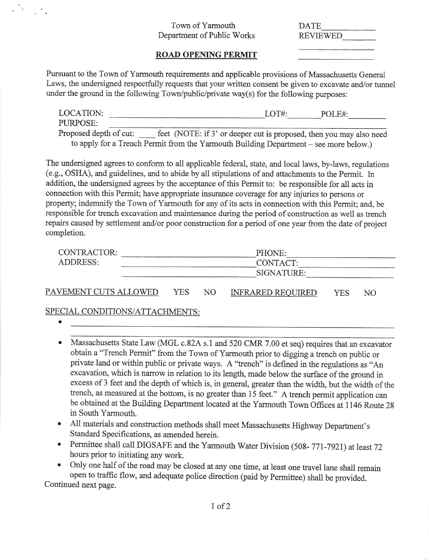## Town of Yarrnouth Departrnent of Public Works

| DATE            |  |
|-----------------|--|
| <b>REVIEWED</b> |  |
|                 |  |

## ROAD OPENING PERMIT

Pursuant to the Town of Yannouth requirements and applicable provisions of Massachusetts General Laws, the undersigned respectfully requests that your written consent be given to excavate and/or tunnel under the ground in the following  $Town/public/private$  way(s) for the following purposes:

| LOCATION:                                                                             |                                                                     | $LOT#$ : | POLE#: |  |
|---------------------------------------------------------------------------------------|---------------------------------------------------------------------|----------|--------|--|
| PURPOSE:                                                                              |                                                                     |          |        |  |
| Proposed depth of cut:                                                                | feet (NOTE: if 3' or deeper cut is proposed, then you may also need |          |        |  |
| to apply for a Trench Permit from the Yarmouth Building Department – see more below.) |                                                                     |          |        |  |

The undersigned agrees to conform to all applicable federal, state, and local laws, by-laws, regulations (e.g., OSHA), and guidelines, and to abide by all stipulations of and attachments to the Permit. In addition, the undersigned agrees by the acceptance of this Permit to: be responsible for all acts in connection with this Permit; have appropriate insurance coverage for any injuries to persons or property; indemnify the Town of Yarmouth for any of its acts in connection with this Permit; and, be responsible for trench excavation and maintenance during the period of construction as well as trench repairs caused by settlement and/or poor construction for a period of one year from the date of project completion.

| CONTRACTOR:     | PHONE:     |  |
|-----------------|------------|--|
| <b>ADDRESS:</b> | CONTACT:   |  |
|                 | SIGNATURE: |  |
|                 |            |  |

PAVEMENT CUTS ALLOWED YES NO INFRARED REOUIRED YES NO

## SPECIAL CONDITIONS/ATTACHMENTS:

 $\begin{smallmatrix}&&&&&&&\\ &\ast&&&&&\\ &\ast&&&&&\\ 0&&&&&\ast\\ &\ast&&&&&\\ \end{smallmatrix}$ 

- a
- Massachusetts State Law (MGL c.82A s.1 and 520 CMR 7.00 et seq) requires that an excavator obtain a "Trench Pemrit" from the Town of Yarmouth prior to digging a trench on public or private land or within public or private ways. A "trench" is defined in the regulations as "An excavation, which is narrow in relation to its length, made below the surface of the ground in excess of 3 feet and the depth of which is, in general, greater than the width, but the width of the trench, as measured at the bottom, is no greater than 15 feet." A trench permit application can be obtained at the Building Department located at the Yarmouth Town Offices at 1146 Route 28 in South Yarmouth.
- All materials and construction methods shall meet Massachusetts Highway Department's Standard Specifications, as amended herein.
- Permittee shall call DIGSAFE and the Yarmouth Water Division (508-771-7921) at least 72 hours prior to initiating any work.

o OnIy one half of the road may be closed at any one time, at least one travel lane shall remain open to traffic flow, and adequate police direction (paid by Permittee) shall be provided. Continued next page.